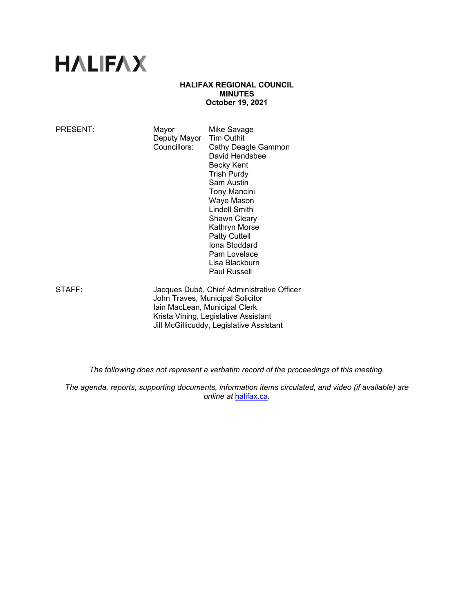# **HALIFAX**

## **HALIFAX REGIONAL COUNCIL MINUTES October 19, 2021**

| PRESENT: | Mayor<br>Deputy Mayor<br>Councillors:                                                                           | Mike Savage<br><b>Tim Outhit</b><br>Cathy Deagle Gammon<br>David Hendsbee<br>Becky Kent<br><b>Trish Purdy</b><br>Sam Austin<br><b>Tony Mancini</b><br>Waye Mason<br>Lindell Smith<br><b>Shawn Cleary</b><br>Kathryn Morse<br><b>Patty Cuttell</b><br>Iona Stoddard<br>Pam Lovelace<br>Lisa Blackburn<br>Paul Russell |
|----------|-----------------------------------------------------------------------------------------------------------------|----------------------------------------------------------------------------------------------------------------------------------------------------------------------------------------------------------------------------------------------------------------------------------------------------------------------|
| STAFF:   | Jacques Dubé, Chief Administrative Officer<br>John Traves, Municipal Solicitor<br>Iain MacLean, Municipal Clerk |                                                                                                                                                                                                                                                                                                                      |

 Krista Vining, Legislative Assistant Jill McGillicuddy, Legislative Assistant

*The following does not represent a verbatim record of the proceedings of this meeting.* 

*The agenda, reports, supporting documents, information items circulated, and video (if available) are online at* halifax.ca*.*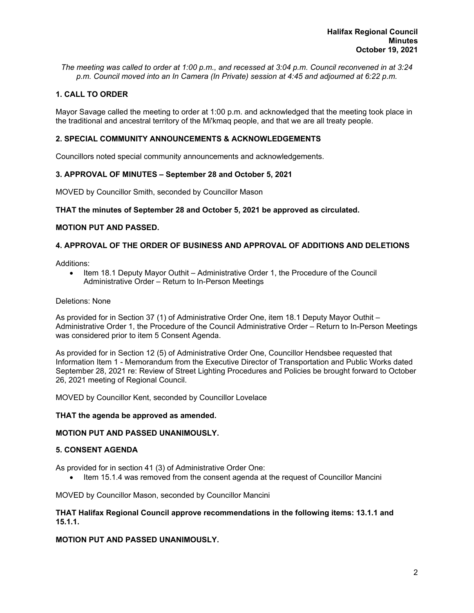*The meeting was called to order at 1:00 p.m., and recessed at 3:04 p.m. Council reconvened in at 3:24 p.m. Council moved into an In Camera (In Private) session at 4:45 and adjourned at 6:22 p.m.*

## **1. CALL TO ORDER**

Mayor Savage called the meeting to order at 1:00 p.m. and acknowledged that the meeting took place in the traditional and ancestral territory of the Mi'kmaq people, and that we are all treaty people.

## **2. SPECIAL COMMUNITY ANNOUNCEMENTS & ACKNOWLEDGEMENTS**

Councillors noted special community announcements and acknowledgements.

## **3. APPROVAL OF MINUTES – September 28 and October 5, 2021**

MOVED by Councillor Smith, seconded by Councillor Mason

#### **THAT the minutes of September 28 and October 5, 2021 be approved as circulated.**

#### **MOTION PUT AND PASSED.**

## **4. APPROVAL OF THE ORDER OF BUSINESS AND APPROVAL OF ADDITIONS AND DELETIONS**

Additions:

• Item 18.1 Deputy Mayor Outhit – Administrative Order 1, the Procedure of the Council Administrative Order – Return to In-Person Meetings

#### Deletions: None

As provided for in Section 37 (1) of Administrative Order One, item 18.1 Deputy Mayor Outhit – Administrative Order 1, the Procedure of the Council Administrative Order – Return to In-Person Meetings was considered prior to item 5 Consent Agenda.

As provided for in Section 12 (5) of Administrative Order One, Councillor Hendsbee requested that Information Item 1 - Memorandum from the Executive Director of Transportation and Public Works dated September 28, 2021 re: Review of Street Lighting Procedures and Policies be brought forward to October 26, 2021 meeting of Regional Council.

MOVED by Councillor Kent, seconded by Councillor Lovelace

#### **THAT the agenda be approved as amended.**

#### **MOTION PUT AND PASSED UNANIMOUSLY.**

#### **5. CONSENT AGENDA**

As provided for in section 41 (3) of Administrative Order One:

Item 15.1.4 was removed from the consent agenda at the request of Councillor Mancini

MOVED by Councillor Mason, seconded by Councillor Mancini

#### **THAT Halifax Regional Council approve recommendations in the following items: 13.1.1 and 15.1.1.**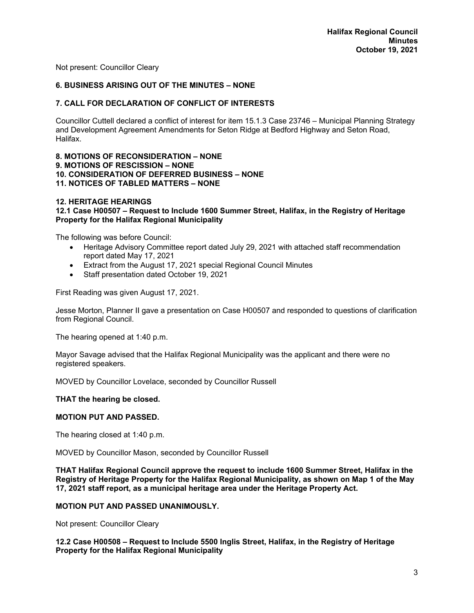Not present: Councillor Cleary

## **6. BUSINESS ARISING OUT OF THE MINUTES – NONE**

### **7. CALL FOR DECLARATION OF CONFLICT OF INTERESTS**

Councillor Cuttell declared a conflict of interest for item 15.1.3 Case 23746 – Municipal Planning Strategy and Development Agreement Amendments for Seton Ridge at Bedford Highway and Seton Road, Halifax.

#### **8. MOTIONS OF RECONSIDERATION – NONE 9. MOTIONS OF RESCISSION – NONE 10. CONSIDERATION OF DEFERRED BUSINESS – NONE 11. NOTICES OF TABLED MATTERS – NONE**

#### **12. HERITAGE HEARINGS**

**12.1 Case H00507 – Request to Include 1600 Summer Street, Halifax, in the Registry of Heritage Property for the Halifax Regional Municipality** 

The following was before Council:

- Heritage Advisory Committee report dated July 29, 2021 with attached staff recommendation report dated May 17, 2021
- Extract from the August 17, 2021 special Regional Council Minutes
- Staff presentation dated October 19, 2021

First Reading was given August 17, 2021.

Jesse Morton, Planner II gave a presentation on Case H00507 and responded to questions of clarification from Regional Council.

The hearing opened at 1:40 p.m.

Mayor Savage advised that the Halifax Regional Municipality was the applicant and there were no registered speakers.

MOVED by Councillor Lovelace, seconded by Councillor Russell

#### **THAT the hearing be closed.**

## **MOTION PUT AND PASSED.**

The hearing closed at 1:40 p.m.

MOVED by Councillor Mason, seconded by Councillor Russell

**THAT Halifax Regional Council approve the request to include 1600 Summer Street, Halifax in the Registry of Heritage Property for the Halifax Regional Municipality, as shown on Map 1 of the May 17, 2021 staff report, as a municipal heritage area under the Heritage Property Act.** 

#### **MOTION PUT AND PASSED UNANIMOUSLY.**

Not present: Councillor Cleary

**12.2 Case H00508 – Request to Include 5500 Inglis Street, Halifax, in the Registry of Heritage Property for the Halifax Regional Municipality**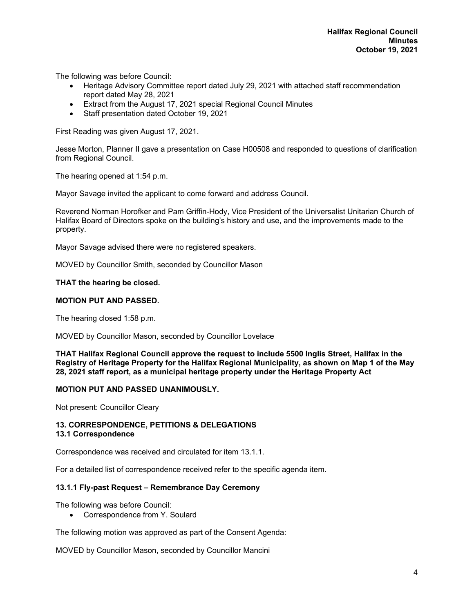The following was before Council:

- Heritage Advisory Committee report dated July 29, 2021 with attached staff recommendation report dated May 28, 2021
- Extract from the August 17, 2021 special Regional Council Minutes
- Staff presentation dated October 19, 2021

First Reading was given August 17, 2021.

Jesse Morton, Planner II gave a presentation on Case H00508 and responded to questions of clarification from Regional Council.

The hearing opened at 1:54 p.m.

Mayor Savage invited the applicant to come forward and address Council.

Reverend Norman Horofker and Pam Griffin-Hody, Vice President of the Universalist Unitarian Church of Halifax Board of Directors spoke on the building's history and use, and the improvements made to the property.

Mayor Savage advised there were no registered speakers.

MOVED by Councillor Smith, seconded by Councillor Mason

#### **THAT the hearing be closed.**

#### **MOTION PUT AND PASSED.**

The hearing closed 1:58 p.m.

MOVED by Councillor Mason, seconded by Councillor Lovelace

**THAT Halifax Regional Council approve the request to include 5500 Inglis Street, Halifax in the Registry of Heritage Property for the Halifax Regional Municipality, as shown on Map 1 of the May 28, 2021 staff report, as a municipal heritage property under the Heritage Property Act** 

#### **MOTION PUT AND PASSED UNANIMOUSLY.**

Not present: Councillor Cleary

#### **13. CORRESPONDENCE, PETITIONS & DELEGATIONS 13.1 Correspondence**

Correspondence was received and circulated for item 13.1.1.

For a detailed list of correspondence received refer to the specific agenda item.

#### **13.1.1 Fly-past Request – Remembrance Day Ceremony**

The following was before Council:

• Correspondence from Y. Soulard

The following motion was approved as part of the Consent Agenda:

MOVED by Councillor Mason, seconded by Councillor Mancini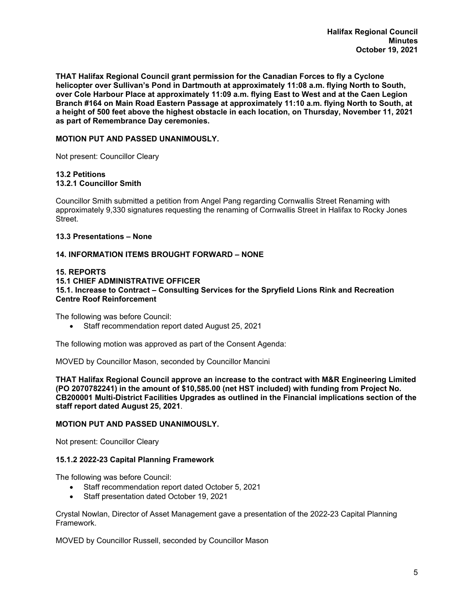**THAT Halifax Regional Council grant permission for the Canadian Forces to fly a Cyclone helicopter over Sullivan's Pond in Dartmouth at approximately 11:08 a.m. flying North to South, over Cole Harbour Place at approximately 11:09 a.m. flying East to West and at the Caen Legion Branch #164 on Main Road Eastern Passage at approximately 11:10 a.m. flying North to South, at a height of 500 feet above the highest obstacle in each location, on Thursday, November 11, 2021 as part of Remembrance Day ceremonies.** 

## **MOTION PUT AND PASSED UNANIMOUSLY.**

Not present: Councillor Cleary

### **13.2 Petitions 13.2.1 Councillor Smith**

Councillor Smith submitted a petition from Angel Pang regarding Cornwallis Street Renaming with approximately 9,330 signatures requesting the renaming of Cornwallis Street in Halifax to Rocky Jones Street.

#### **13.3 Presentations – None**

#### **14. INFORMATION ITEMS BROUGHT FORWARD – NONE**

#### **15. REPORTS**

**15.1 CHIEF ADMINISTRATIVE OFFICER 15.1. Increase to Contract – Consulting Services for the Spryfield Lions Rink and Recreation Centre Roof Reinforcement** 

The following was before Council:

Staff recommendation report dated August 25, 2021

The following motion was approved as part of the Consent Agenda:

MOVED by Councillor Mason, seconded by Councillor Mancini

**THAT Halifax Regional Council approve an increase to the contract with M&R Engineering Limited (PO 2070782241) in the amount of \$10,585.00 (net HST included) with funding from Project No. CB200001 Multi-District Facilities Upgrades as outlined in the Financial implications section of the staff report dated August 25, 2021**.

#### **MOTION PUT AND PASSED UNANIMOUSLY.**

Not present: Councillor Cleary

#### **15.1.2 2022-23 Capital Planning Framework**

The following was before Council:

- Staff recommendation report dated October 5, 2021
- Staff presentation dated October 19, 2021

Crystal Nowlan, Director of Asset Management gave a presentation of the 2022-23 Capital Planning Framework.

MOVED by Councillor Russell, seconded by Councillor Mason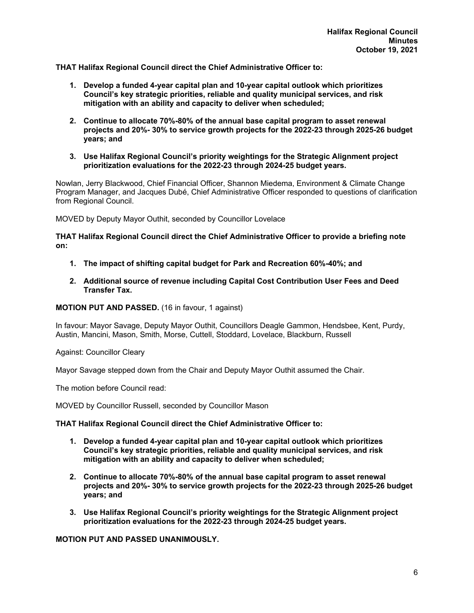**THAT Halifax Regional Council direct the Chief Administrative Officer to:** 

- **1. Develop a funded 4-year capital plan and 10-year capital outlook which prioritizes Council's key strategic priorities, reliable and quality municipal services, and risk mitigation with an ability and capacity to deliver when scheduled;**
- **2. Continue to allocate 70%-80% of the annual base capital program to asset renewal projects and 20%- 30% to service growth projects for the 2022-23 through 2025-26 budget years; and**
- **3. Use Halifax Regional Council's priority weightings for the Strategic Alignment project prioritization evaluations for the 2022-23 through 2024-25 budget years.**

Nowlan, Jerry Blackwood, Chief Financial Officer, Shannon Miedema, Environment & Climate Change Program Manager, and Jacques Dubé, Chief Administrative Officer responded to questions of clarification from Regional Council.

MOVED by Deputy Mayor Outhit, seconded by Councillor Lovelace

**THAT Halifax Regional Council direct the Chief Administrative Officer to provide a briefing note on:** 

- **1. The impact of shifting capital budget for Park and Recreation 60%-40%; and**
- **2. Additional source of revenue including Capital Cost Contribution User Fees and Deed Transfer Tax.**

**MOTION PUT AND PASSED.** (16 in favour, 1 against)

In favour: Mayor Savage, Deputy Mayor Outhit, Councillors Deagle Gammon, Hendsbee, Kent, Purdy, Austin, Mancini, Mason, Smith, Morse, Cuttell, Stoddard, Lovelace, Blackburn, Russell

Against: Councillor Cleary

Mayor Savage stepped down from the Chair and Deputy Mayor Outhit assumed the Chair.

The motion before Council read:

MOVED by Councillor Russell, seconded by Councillor Mason

#### **THAT Halifax Regional Council direct the Chief Administrative Officer to:**

- **1. Develop a funded 4-year capital plan and 10-year capital outlook which prioritizes Council's key strategic priorities, reliable and quality municipal services, and risk mitigation with an ability and capacity to deliver when scheduled;**
- **2. Continue to allocate 70%-80% of the annual base capital program to asset renewal projects and 20%- 30% to service growth projects for the 2022-23 through 2025-26 budget years; and**
- **3. Use Halifax Regional Council's priority weightings for the Strategic Alignment project prioritization evaluations for the 2022-23 through 2024-25 budget years.**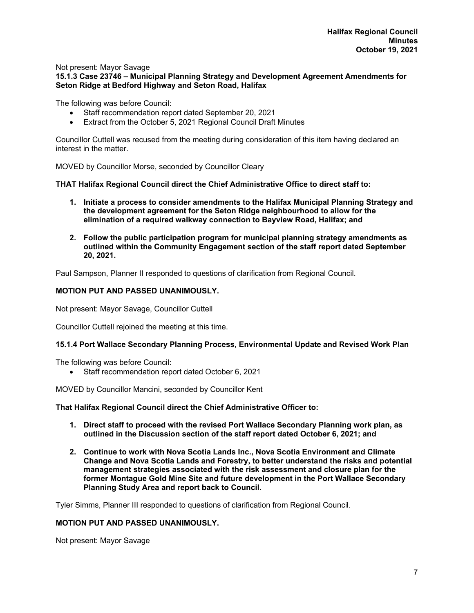#### Not present: Mayor Savage **15.1.3 Case 23746 – Municipal Planning Strategy and Development Agreement Amendments for Seton Ridge at Bedford Highway and Seton Road, Halifax**

The following was before Council:

- Staff recommendation report dated September 20, 2021
- Extract from the October 5, 2021 Regional Council Draft Minutes

Councillor Cuttell was recused from the meeting during consideration of this item having declared an interest in the matter.

MOVED by Councillor Morse, seconded by Councillor Cleary

**THAT Halifax Regional Council direct the Chief Administrative Office to direct staff to:** 

- **1. Initiate a process to consider amendments to the Halifax Municipal Planning Strategy and the development agreement for the Seton Ridge neighbourhood to allow for the elimination of a required walkway connection to Bayview Road, Halifax; and**
- **2. Follow the public participation program for municipal planning strategy amendments as outlined within the Community Engagement section of the staff report dated September 20, 2021.**

Paul Sampson, Planner II responded to questions of clarification from Regional Council.

#### **MOTION PUT AND PASSED UNANIMOUSLY.**

Not present: Mayor Savage, Councillor Cuttell

Councillor Cuttell rejoined the meeting at this time.

## **15.1.4 Port Wallace Secondary Planning Process, Environmental Update and Revised Work Plan**

The following was before Council:

• Staff recommendation report dated October 6, 2021

MOVED by Councillor Mancini, seconded by Councillor Kent

**That Halifax Regional Council direct the Chief Administrative Officer to:** 

- **1. Direct staff to proceed with the revised Port Wallace Secondary Planning work plan, as outlined in the Discussion section of the staff report dated October 6, 2021; and**
- **2. Continue to work with Nova Scotia Lands Inc., Nova Scotia Environment and Climate Change and Nova Scotia Lands and Forestry, to better understand the risks and potential management strategies associated with the risk assessment and closure plan for the former Montague Gold Mine Site and future development in the Port Wallace Secondary Planning Study Area and report back to Council.**

Tyler Simms, Planner III responded to questions of clarification from Regional Council.

## **MOTION PUT AND PASSED UNANIMOUSLY.**

Not present: Mayor Savage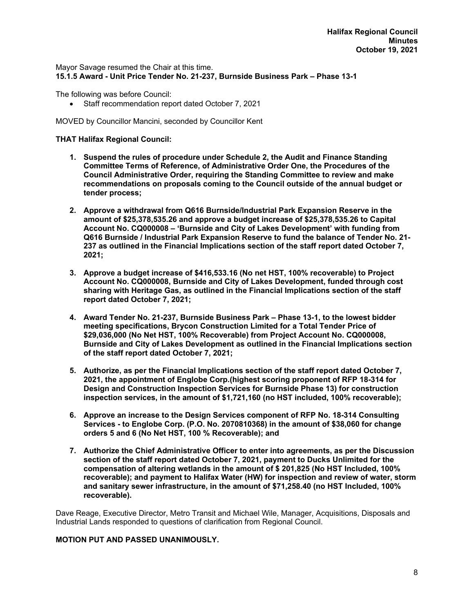Mayor Savage resumed the Chair at this time. **15.1.5 Award - Unit Price Tender No. 21-237, Burnside Business Park – Phase 13-1** 

The following was before Council:

Staff recommendation report dated October 7, 2021

MOVED by Councillor Mancini, seconded by Councillor Kent

### **THAT Halifax Regional Council:**

- **1. Suspend the rules of procedure under Schedule 2, the Audit and Finance Standing Committee Terms of Reference, of Administrative Order One, the Procedures of the Council Administrative Order, requiring the Standing Committee to review and make recommendations on proposals coming to the Council outside of the annual budget or tender process;**
- **2. Approve a withdrawal from Q616 Burnside/Industrial Park Expansion Reserve in the amount of \$25,378,535.26 and approve a budget increase of \$25,378,535.26 to Capital Account No. CQ000008 – 'Burnside and City of Lakes Development' with funding from Q616 Burnside / Industrial Park Expansion Reserve to fund the balance of Tender No. 21- 237 as outlined in the Financial Implications section of the staff report dated October 7, 2021;**
- **3. Approve a budget increase of \$416,533.16 (No net HST, 100% recoverable) to Project Account No. CQ000008, Burnside and City of Lakes Development, funded through cost sharing with Heritage Gas, as outlined in the Financial Implications section of the staff report dated October 7, 2021;**
- **4. Award Tender No. 21-237, Burnside Business Park Phase 13-1, to the lowest bidder meeting specifications, Brycon Construction Limited for a Total Tender Price of \$29,036,000 (No Net HST, 100% Recoverable) from Project Account No. CQ000008, Burnside and City of Lakes Development as outlined in the Financial Implications section of the staff report dated October 7, 2021;**
- **5. Authorize, as per the Financial Implications section of the staff report dated October 7, 2021, the appointment of Englobe Corp.(highest scoring proponent of RFP 18-314 for Design and Construction Inspection Services for Burnside Phase 13) for construction inspection services, in the amount of \$1,721,160 (no HST included, 100% recoverable);**
- **6. Approve an increase to the Design Services component of RFP No. 18-314 Consulting Services - to Englobe Corp. (P.O. No. 2070810368) in the amount of \$38,060 for change orders 5 and 6 (No Net HST, 100 % Recoverable); and**
- **7. Authorize the Chief Administrative Officer to enter into agreements, as per the Discussion section of the staff report dated October 7, 2021, payment to Ducks Unlimited for the compensation of altering wetlands in the amount of \$ 201,825 (No HST Included, 100% recoverable); and payment to Halifax Water (HW) for inspection and review of water, storm and sanitary sewer infrastructure, in the amount of \$71,258.40 (no HST Included, 100% recoverable).**

Dave Reage, Executive Director, Metro Transit and Michael Wile, Manager, Acquisitions, Disposals and Industrial Lands responded to questions of clarification from Regional Council.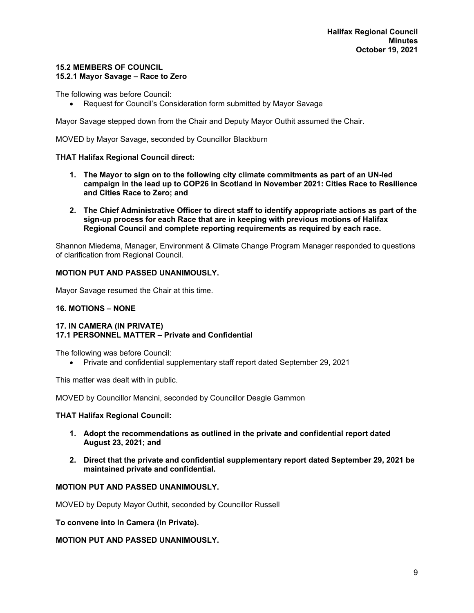## **15.2 MEMBERS OF COUNCIL 15.2.1 Mayor Savage – Race to Zero**

The following was before Council:

Request for Council's Consideration form submitted by Mayor Savage

Mayor Savage stepped down from the Chair and Deputy Mayor Outhit assumed the Chair.

MOVED by Mayor Savage, seconded by Councillor Blackburn

## **THAT Halifax Regional Council direct:**

- **1. The Mayor to sign on to the following city climate commitments as part of an UN-led campaign in the lead up to COP26 in Scotland in November 2021: Cities Race to Resilience and Cities Race to Zero; and**
- **2. The Chief Administrative Officer to direct staff to identify appropriate actions as part of the sign-up process for each Race that are in keeping with previous motions of Halifax Regional Council and complete reporting requirements as required by each race.**

Shannon Miedema, Manager, Environment & Climate Change Program Manager responded to questions of clarification from Regional Council.

## **MOTION PUT AND PASSED UNANIMOUSLY.**

Mayor Savage resumed the Chair at this time.

### **16. MOTIONS – NONE**

## **17. IN CAMERA (IN PRIVATE) 17.1 PERSONNEL MATTER – Private and Confidential**

The following was before Council:

Private and confidential supplementary staff report dated September 29, 2021

This matter was dealt with in public.

MOVED by Councillor Mancini, seconded by Councillor Deagle Gammon

#### **THAT Halifax Regional Council:**

- **1. Adopt the recommendations as outlined in the private and confidential report dated August 23, 2021; and**
- **2. Direct that the private and confidential supplementary report dated September 29, 2021 be maintained private and confidential.**

## **MOTION PUT AND PASSED UNANIMOUSLY.**

MOVED by Deputy Mayor Outhit, seconded by Councillor Russell

**To convene into In Camera (In Private).**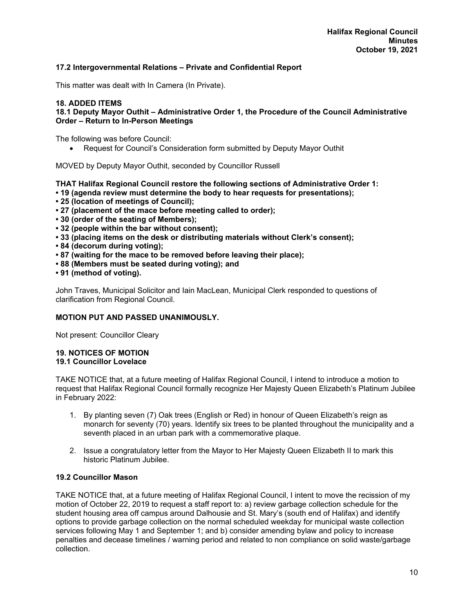## **17.2 Intergovernmental Relations – Private and Confidential Report**

This matter was dealt with In Camera (In Private).

## **18. ADDED ITEMS**

## **18.1 Deputy Mayor Outhit – Administrative Order 1, the Procedure of the Council Administrative Order – Return to In-Person Meetings**

The following was before Council:

Request for Council's Consideration form submitted by Deputy Mayor Outhit

MOVED by Deputy Mayor Outhit, seconded by Councillor Russell

**THAT Halifax Regional Council restore the following sections of Administrative Order 1:** 

- **19 (agenda review must determine the body to hear requests for presentations);**
- **25 (location of meetings of Council);**
- **27 (placement of the mace before meeting called to order);**
- **30 (order of the seating of Members);**
- **32 (people within the bar without consent);**
- **33 (placing items on the desk or distributing materials without Clerk's consent);**
- **84 (decorum during voting);**
- **87 (waiting for the mace to be removed before leaving their place);**
- **88 (Members must be seated during voting); and**
- **91 (method of voting).**

John Traves, Municipal Solicitor and Iain MacLean, Municipal Clerk responded to questions of clarification from Regional Council.

#### **MOTION PUT AND PASSED UNANIMOUSLY.**

Not present: Councillor Cleary

#### **19. NOTICES OF MOTION 19.1 Councillor Lovelace**

TAKE NOTICE that, at a future meeting of Halifax Regional Council, I intend to introduce a motion to request that Halifax Regional Council formally recognize Her Majesty Queen Elizabeth's Platinum Jubilee in February 2022:

- 1. By planting seven (7) Oak trees (English or Red) in honour of Queen Elizabeth's reign as monarch for seventy (70) years. Identify six trees to be planted throughout the municipality and a seventh placed in an urban park with a commemorative plaque.
- 2. Issue a congratulatory letter from the Mayor to Her Majesty Queen Elizabeth II to mark this historic Platinum Jubilee.

#### **19.2 Councillor Mason**

TAKE NOTICE that, at a future meeting of Halifax Regional Council, I intent to move the recission of my motion of October 22, 2019 to request a staff report to: a) review garbage collection schedule for the student housing area off campus around Dalhousie and St. Mary's (south end of Halifax) and identify options to provide garbage collection on the normal scheduled weekday for municipal waste collection services following May 1 and September 1; and b) consider amending bylaw and policy to increase penalties and decease timelines / warning period and related to non compliance on solid waste/garbage collection.